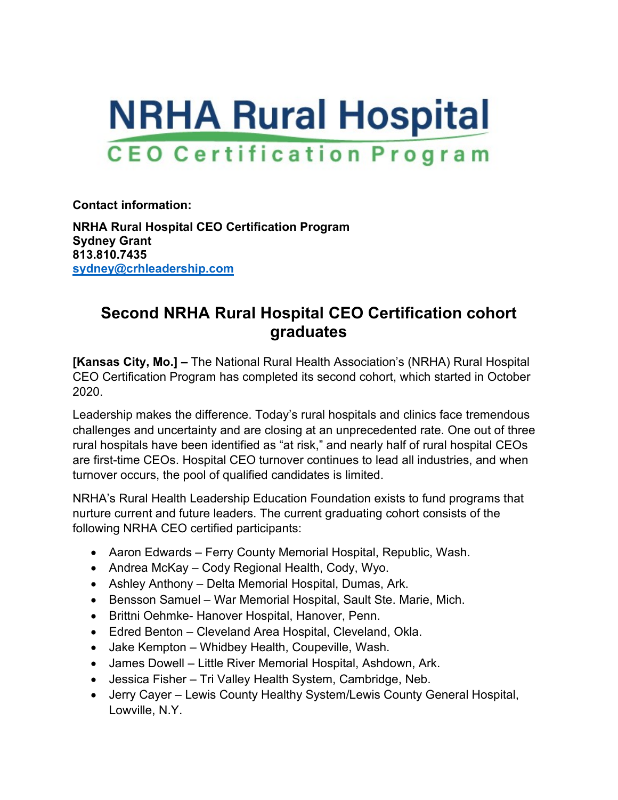

**Contact information:**

**NRHA Rural Hospital CEO Certification Program Sydney Grant 813.810.7435 [sydney@crhleadership.com](mailto:sydney@crhleadership.com)**

## **Second NRHA Rural Hospital CEO Certification cohort graduates**

**[Kansas City, Mo.] –** The National Rural Health Association's (NRHA) Rural Hospital CEO Certification Program has completed its second cohort, which started in October 2020.

Leadership makes the difference. Today's rural hospitals and clinics face tremendous challenges and uncertainty and are closing at an unprecedented rate. One out of three rural hospitals have been identified as "at risk," and nearly half of rural hospital CEOs are first-time CEOs. Hospital CEO turnover continues to lead all industries, and when turnover occurs, the pool of qualified candidates is limited.

NRHA's Rural Health Leadership Education Foundation exists to fund programs that nurture current and future leaders. The current graduating cohort consists of the following NRHA CEO certified participants:

- Aaron Edwards Ferry County Memorial Hospital, Republic, Wash.
- Andrea McKay Cody Regional Health, Cody, Wyo.
- Ashley Anthony Delta Memorial Hospital, Dumas, Ark.
- Bensson Samuel War Memorial Hospital, Sault Ste. Marie, Mich.
- Brittni Oehmke- Hanover Hospital, Hanover, Penn.
- Edred Benton Cleveland Area Hospital, Cleveland, Okla.
- Jake Kempton Whidbey Health, Coupeville, Wash.
- James Dowell Little River Memorial Hospital, Ashdown, Ark.
- Jessica Fisher Tri Valley Health System, Cambridge, Neb.
- Jerry Cayer Lewis County Healthy System/Lewis County General Hospital, Lowville, N.Y.